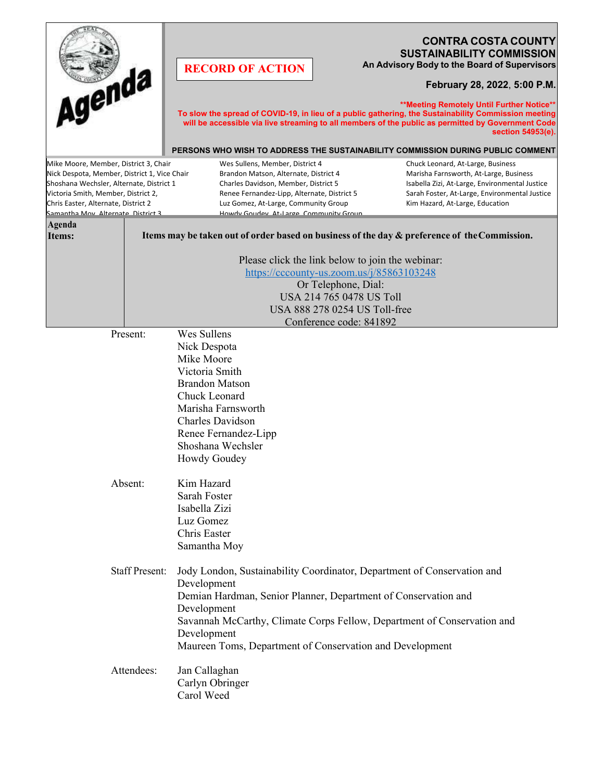| Agenda<br>Mike Moore, Member, District 3, Chair<br>Nick Despota, Member, District 1, Vice Chair<br>Shoshana Wechsler, Alternate, District 1 |                                                                                                                                                                                                              | <b>CONTRA COSTA COUNTY</b><br><b>SUSTAINABILITY COMMISSION</b><br>An Advisory Body to the Board of Supervisors<br><b>RECORD OF ACTION</b><br>February 28, 2022, 5:00 P.M.<br>** Meeting Remotely Until Further Notice**<br>To slow the spread of COVID-19, in lieu of a public gathering, the Sustainability Commission meeting<br>will be accessible via live streaming to all members of the public as permitted by Government Code<br>section 54953(e).<br>PERSONS WHO WISH TO ADDRESS THE SUSTAINABILITY COMMISSION DURING PUBLIC COMMENT<br>Wes Sullens, Member, District 4<br>Chuck Leonard, At-Large, Business<br>Brandon Matson, Alternate, District 4<br>Marisha Farnsworth, At-Large, Business<br>Charles Davidson, Member, District 5<br>Isabella Zizi, At-Large, Environmental Justice |  |                                               |
|---------------------------------------------------------------------------------------------------------------------------------------------|--------------------------------------------------------------------------------------------------------------------------------------------------------------------------------------------------------------|----------------------------------------------------------------------------------------------------------------------------------------------------------------------------------------------------------------------------------------------------------------------------------------------------------------------------------------------------------------------------------------------------------------------------------------------------------------------------------------------------------------------------------------------------------------------------------------------------------------------------------------------------------------------------------------------------------------------------------------------------------------------------------------------------|--|-----------------------------------------------|
| Victoria Smith, Member, District 2,                                                                                                         |                                                                                                                                                                                                              | Renee Fernandez-Lipp, Alternate, District 5                                                                                                                                                                                                                                                                                                                                                                                                                                                                                                                                                                                                                                                                                                                                                        |  | Sarah Foster, At-Large, Environmental Justice |
| Chris Easter, Alternate, District 2<br>Samantha Mov. Alternate. District 3                                                                  |                                                                                                                                                                                                              | Luz Gomez, At-Large, Community Group<br>Howdy Goudey, At-Large, Community Group                                                                                                                                                                                                                                                                                                                                                                                                                                                                                                                                                                                                                                                                                                                    |  | Kim Hazard, At-Large, Education               |
| Agenda<br>Items:                                                                                                                            | Items may be taken out of order based on business of the day & preference of the Commission.                                                                                                                 |                                                                                                                                                                                                                                                                                                                                                                                                                                                                                                                                                                                                                                                                                                                                                                                                    |  |                                               |
|                                                                                                                                             | Please click the link below to join the webinar:<br>https://cccounty-us.zoom.us/j/85863103248<br>Or Telephone, Dial:<br>USA 214 765 0478 US Toll<br>USA 888 278 0254 US Toll-free<br>Conference code: 841892 |                                                                                                                                                                                                                                                                                                                                                                                                                                                                                                                                                                                                                                                                                                                                                                                                    |  |                                               |
|                                                                                                                                             | Absent:                                                                                                                                                                                                      | Nick Despota<br>Mike Moore<br>Victoria Smith<br><b>Brandon Matson</b><br>Chuck Leonard<br>Marisha Farnsworth<br>Charles Davidson<br>Renee Fernandez-Lipp<br>Shoshana Wechsler<br><b>Howdy Goudey</b><br>Kim Hazard<br>Sarah Foster<br>Isabella Zizi<br>Luz Gomez<br>Chris Easter<br>Samantha Moy                                                                                                                                                                                                                                                                                                                                                                                                                                                                                                   |  |                                               |
| <b>Staff Present:</b>                                                                                                                       |                                                                                                                                                                                                              | Jody London, Sustainability Coordinator, Department of Conservation and<br>Development<br>Demian Hardman, Senior Planner, Department of Conservation and<br>Development<br>Savannah McCarthy, Climate Corps Fellow, Department of Conservation and<br>Development<br>Maureen Toms, Department of Conservation and Development                                                                                                                                                                                                                                                                                                                                                                                                                                                                      |  |                                               |
| Attendees:                                                                                                                                  |                                                                                                                                                                                                              | Jan Callaghan<br>Carlyn Obringer<br>Carol Weed                                                                                                                                                                                                                                                                                                                                                                                                                                                                                                                                                                                                                                                                                                                                                     |  |                                               |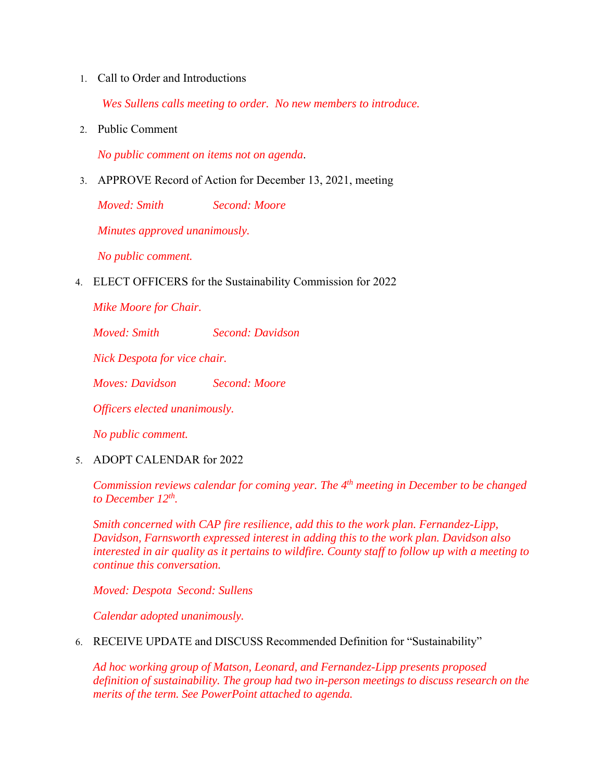1. Call to Order and Introductions

*Wes Sullens calls meeting to order. No new members to introduce.* 

2. Public Comment

*No public comment on items not on agenda*.

3. APPROVE Record of Action for December 13, 2021, meeting

*Moved: Smith Second: Moore* 

*Minutes approved unanimously.* 

*No public comment.* 

4. ELECT OFFICERS for the Sustainability Commission for 2022

*Mike Moore for Chair.* 

*Moved: Smith Second: Davidson* 

*Nick Despota for vice chair.* 

*Moves: Davidson Second: Moore* 

*Officers elected unanimously.* 

*No public comment.* 

5. ADOPT CALENDAR for 2022

*Commission reviews calendar for coming year. The 4th meeting in December to be changed to December 12th.* 

*Smith concerned with CAP fire resilience, add this to the work plan. Fernandez-Lipp, Davidson, Farnsworth expressed interest in adding this to the work plan. Davidson also interested in air quality as it pertains to wildfire. County staff to follow up with a meeting to continue this conversation.* 

*Moved: Despota Second: Sullens* 

*Calendar adopted unanimously.* 

6. RECEIVE UPDATE and DISCUSS Recommended Definition for "Sustainability"

*Ad hoc working group of Matson, Leonard, and Fernandez-Lipp presents proposed definition of sustainability. The group had two in-person meetings to discuss research on the merits of the term. See PowerPoint attached to agenda.*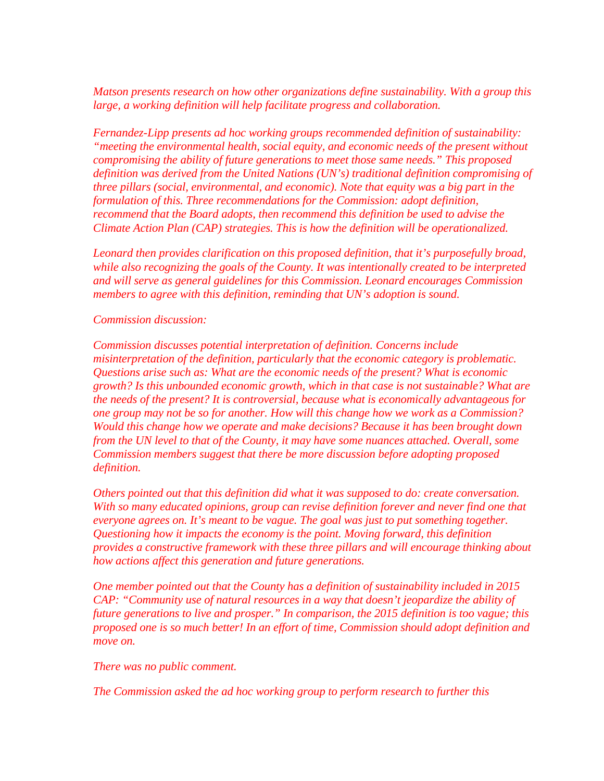*Matson presents research on how other organizations define sustainability. With a group this large, a working definition will help facilitate progress and collaboration.* 

*Fernandez-Lipp presents ad hoc working groups recommended definition of sustainability: "meeting the environmental health, social equity, and economic needs of the present without compromising the ability of future generations to meet those same needs." This proposed definition was derived from the United Nations (UN's) traditional definition compromising of three pillars (social, environmental, and economic). Note that equity was a big part in the formulation of this. Three recommendations for the Commission: adopt definition, recommend that the Board adopts, then recommend this definition be used to advise the Climate Action Plan (CAP) strategies. This is how the definition will be operationalized.* 

*Leonard then provides clarification on this proposed definition, that it's purposefully broad, while also recognizing the goals of the County. It was intentionally created to be interpreted and will serve as general guidelines for this Commission. Leonard encourages Commission members to agree with this definition, reminding that UN's adoption is sound.* 

*Commission discussion:* 

*Commission discusses potential interpretation of definition. Concerns include misinterpretation of the definition, particularly that the economic category is problematic. Questions arise such as: What are the economic needs of the present? What is economic growth? Is this unbounded economic growth, which in that case is not sustainable? What are the needs of the present? It is controversial, because what is economically advantageous for one group may not be so for another. How will this change how we work as a Commission? Would this change how we operate and make decisions? Because it has been brought down from the UN level to that of the County, it may have some nuances attached. Overall, some Commission members suggest that there be more discussion before adopting proposed definition.* 

*Others pointed out that this definition did what it was supposed to do: create conversation. With so many educated opinions, group can revise definition forever and never find one that everyone agrees on. It's meant to be vague. The goal was just to put something together. Questioning how it impacts the economy is the point. Moving forward, this definition provides a constructive framework with these three pillars and will encourage thinking about how actions affect this generation and future generations.* 

*One member pointed out that the County has a definition of sustainability included in 2015 CAP: "Community use of natural resources in a way that doesn't jeopardize the ability of future generations to live and prosper." In comparison, the 2015 definition is too vague; this proposed one is so much better! In an effort of time, Commission should adopt definition and move on.* 

*There was no public comment.* 

*The Commission asked the ad hoc working group to perform research to further this*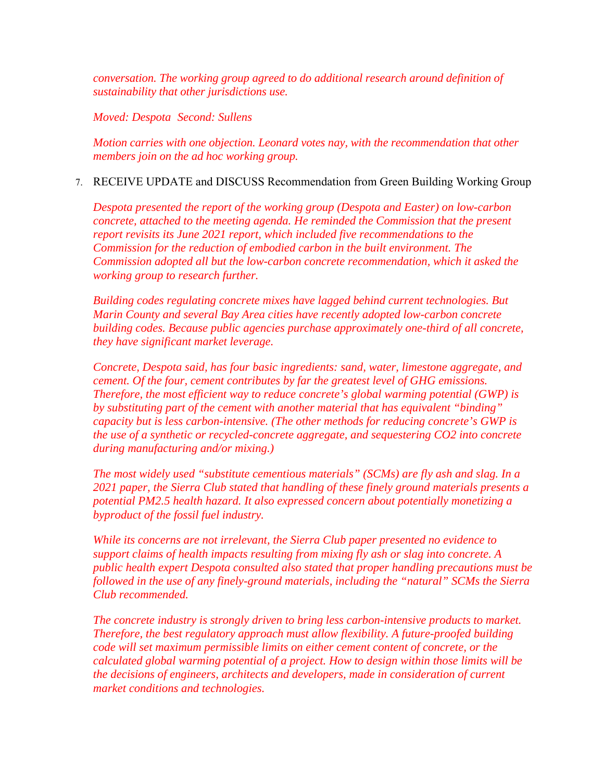*conversation. The working group agreed to do additional research around definition of sustainability that other jurisdictions use.* 

*Moved: Despota Second: Sullens* 

*Motion carries with one objection. Leonard votes nay, with the recommendation that other members join on the ad hoc working group.* 

## 7. RECEIVE UPDATE and DISCUSS Recommendation from Green Building Working Group

*Despota presented the report of the working group (Despota and Easter) on low-carbon concrete, attached to the meeting agenda. He reminded the Commission that the present report revisits its June 2021 report, which included five recommendations to the Commission for the reduction of embodied carbon in the built environment. The Commission adopted all but the low-carbon concrete recommendation, which it asked the working group to research further.* 

*Building codes regulating concrete mixes have lagged behind current technologies. But Marin County and several Bay Area cities have recently adopted low-carbon concrete building codes. Because public agencies purchase approximately one-third of all concrete, they have significant market leverage.* 

*Concrete, Despota said, has four basic ingredients: sand, water, limestone aggregate, and cement. Of the four, cement contributes by far the greatest level of GHG emissions. Therefore, the most efficient way to reduce concrete's global warming potential (GWP) is by substituting part of the cement with another material that has equivalent "binding" capacity but is less carbon-intensive. (The other methods for reducing concrete's GWP is the use of a synthetic or recycled-concrete aggregate, and sequestering CO2 into concrete during manufacturing and/or mixing.)* 

*The most widely used "substitute cementious materials" (SCMs) are fly ash and slag. In a 2021 paper, the Sierra Club stated that handling of these finely ground materials presents a potential PM2.5 health hazard. It also expressed concern about potentially monetizing a byproduct of the fossil fuel industry.* 

*While its concerns are not irrelevant, the Sierra Club paper presented no evidence to support claims of health impacts resulting from mixing fly ash or slag into concrete. A public health expert Despota consulted also stated that proper handling precautions must be followed in the use of any finely-ground materials, including the "natural" SCMs the Sierra Club recommended.* 

*The concrete industry is strongly driven to bring less carbon-intensive products to market. Therefore, the best regulatory approach must allow flexibility. A future-proofed building code will set maximum permissible limits on either cement content of concrete, or the calculated global warming potential of a project. How to design within those limits will be the decisions of engineers, architects and developers, made in consideration of current market conditions and technologies.*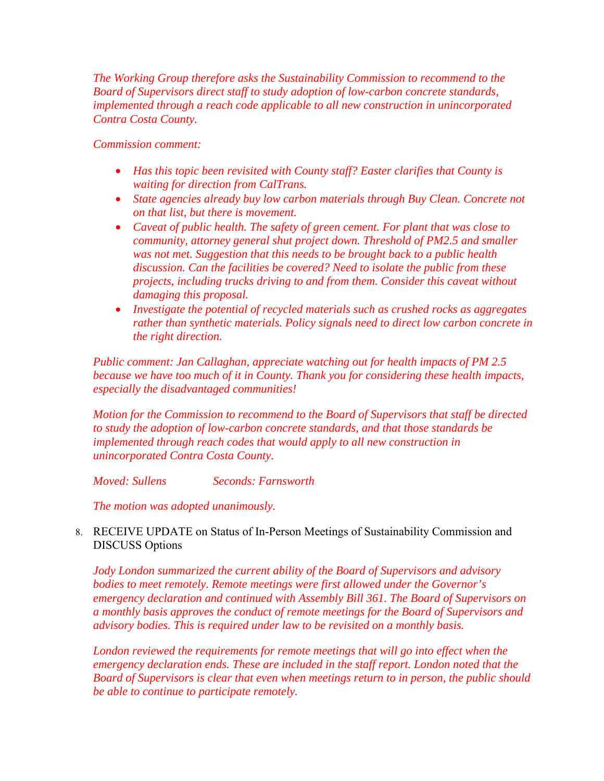*The Working Group therefore asks the Sustainability Commission to recommend to the Board of Supervisors direct staff to study adoption of low-carbon concrete standards, implemented through a reach code applicable to all new construction in unincorporated Contra Costa County.* 

## *Commission comment:*

- *Has this topic been revisited with County staff? Easter clarifies that County is waiting for direction from CalTrans.*
- *State agencies already buy low carbon materials through Buy Clean. Concrete not on that list, but there is movement.*
- *Caveat of public health. The safety of green cement. For plant that was close to community, attorney general shut project down. Threshold of PM2.5 and smaller was not met. Suggestion that this needs to be brought back to a public health discussion. Can the facilities be covered? Need to isolate the public from these projects, including trucks driving to and from them. Consider this caveat without damaging this proposal.*
- *Investigate the potential of recycled materials such as crushed rocks as aggregates rather than synthetic materials. Policy signals need to direct low carbon concrete in the right direction.*

*Public comment: Jan Callaghan, appreciate watching out for health impacts of PM 2.5 because we have too much of it in County. Thank you for considering these health impacts, especially the disadvantaged communities!* 

*Motion for the Commission to recommend to the Board of Supervisors that staff be directed to study the adoption of low-carbon concrete standards, and that those standards be implemented through reach codes that would apply to all new construction in unincorporated Contra Costa County.* 

*Moved: Sullens Seconds: Farnsworth* 

*The motion was adopted unanimously.* 

8. RECEIVE UPDATE on Status of In-Person Meetings of Sustainability Commission and DISCUSS Options

*Jody London summarized the current ability of the Board of Supervisors and advisory bodies to meet remotely. Remote meetings were first allowed under the Governor's emergency declaration and continued with Assembly Bill 361. The Board of Supervisors on a monthly basis approves the conduct of remote meetings for the Board of Supervisors and advisory bodies. This is required under law to be revisited on a monthly basis.* 

*London reviewed the requirements for remote meetings that will go into effect when the emergency declaration ends. These are included in the staff report. London noted that the Board of Supervisors is clear that even when meetings return to in person, the public should be able to continue to participate remotely.*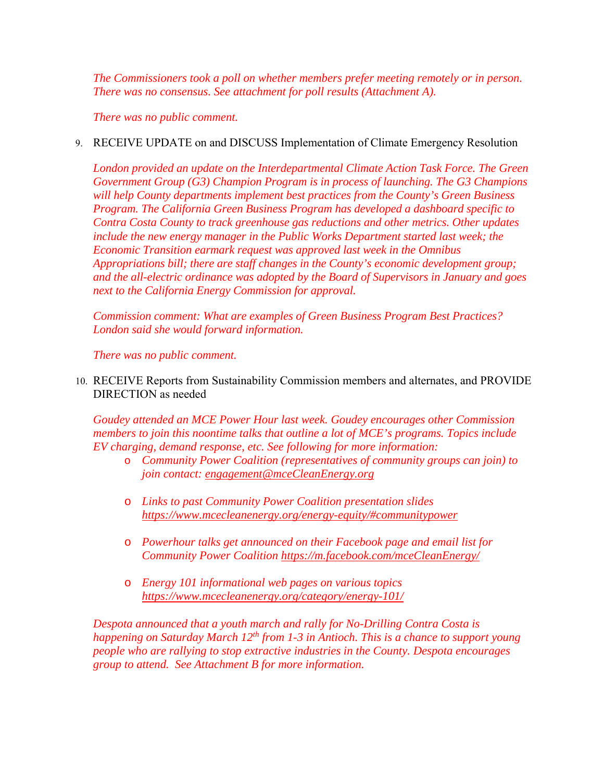*The Commissioners took a poll on whether members prefer meeting remotely or in person. There was no consensus. See attachment for poll results (Attachment A).* 

*There was no public comment.* 

## 9. RECEIVE UPDATE on and DISCUSS Implementation of Climate Emergency Resolution

*London provided an update on the Interdepartmental Climate Action Task Force. The Green Government Group (G3) Champion Program is in process of launching. The G3 Champions will help County departments implement best practices from the County's Green Business Program. The California Green Business Program has developed a dashboard specific to Contra Costa County to track greenhouse gas reductions and other metrics. Other updates include the new energy manager in the Public Works Department started last week; the Economic Transition earmark request was approved last week in the Omnibus Appropriations bill; there are staff changes in the County's economic development group; and the all-electric ordinance was adopted by the Board of Supervisors in January and goes next to the California Energy Commission for approval.* 

*Commission comment: What are examples of Green Business Program Best Practices? London said she would forward information.* 

*There was no public comment.* 

10. RECEIVE Reports from Sustainability Commission members and alternates, and PROVIDE DIRECTION as needed

*Goudey attended an MCE Power Hour last week. Goudey encourages other Commission members to join this noontime talks that outline a lot of MCE's programs. Topics include EV charging, demand response, etc. See following for more information:* 

- o *Community Power Coalition (representatives of community groups can join) to join contact: engagement@mceCleanEnergy.org*
- o *Links to past Community Power Coalition presentation slides https://www.mcecleanenergy.org/energy-equity/#communitypower*
- o *Powerhour talks get announced on their Facebook page and email list for Community Power Coalition https://m.facebook.com/mceCleanEnergy/*
- o *Energy 101 informational web pages on various topics https://www.mcecleanenergy.org/category/energy-101/*

*Despota announced that a youth march and rally for No-Drilling Contra Costa is happening on Saturday March 12<sup>th</sup> from 1-3 in Antioch. This is a chance to support young people who are rallying to stop extractive industries in the County. Despota encourages group to attend. See Attachment B for more information.*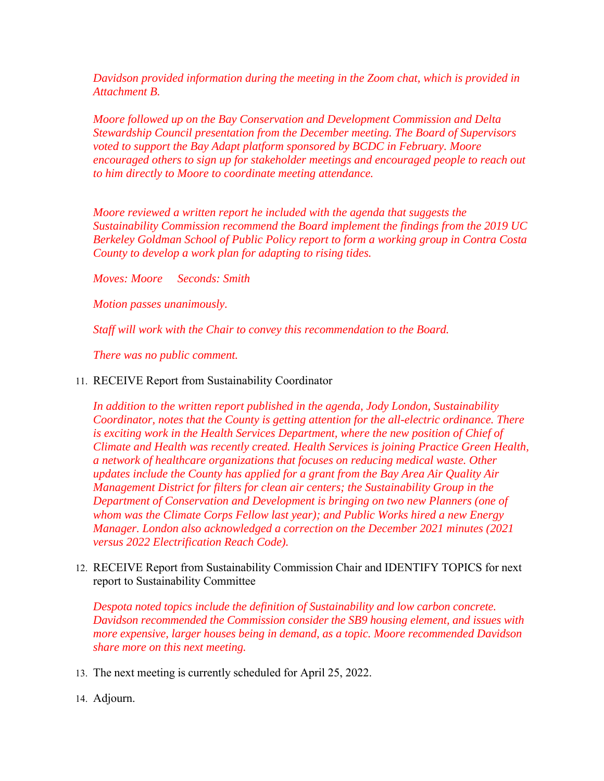*Davidson provided information during the meeting in the Zoom chat, which is provided in Attachment B.* 

*Moore followed up on the Bay Conservation and Development Commission and Delta Stewardship Council presentation from the December meeting. The Board of Supervisors voted to support the Bay Adapt platform sponsored by BCDC in February. Moore encouraged others to sign up for stakeholder meetings and encouraged people to reach out to him directly to Moore to coordinate meeting attendance.* 

*Moore reviewed a written report he included with the agenda that suggests the Sustainability Commission recommend the Board implement the findings from the 2019 UC Berkeley Goldman School of Public Policy report to form a working group in Contra Costa County to develop a work plan for adapting to rising tides.* 

*Moves: Moore Seconds: Smith* 

*Motion passes unanimously.* 

*Staff will work with the Chair to convey this recommendation to the Board.* 

*There was no public comment.* 

11. RECEIVE Report from Sustainability Coordinator

*In addition to the written report published in the agenda, Jody London, Sustainability Coordinator, notes that the County is getting attention for the all-electric ordinance. There is exciting work in the Health Services Department, where the new position of Chief of Climate and Health was recently created. Health Services is joining Practice Green Health, a network of healthcare organizations that focuses on reducing medical waste. Other updates include the County has applied for a grant from the Bay Area Air Quality Air Management District for filters for clean air centers; the Sustainability Group in the Department of Conservation and Development is bringing on two new Planners (one of whom was the Climate Corps Fellow last year); and Public Works hired a new Energy Manager. London also acknowledged a correction on the December 2021 minutes (2021 versus 2022 Electrification Reach Code).* 

12. RECEIVE Report from Sustainability Commission Chair and IDENTIFY TOPICS for next report to Sustainability Committee

*Despota noted topics include the definition of Sustainability and low carbon concrete. Davidson recommended the Commission consider the SB9 housing element, and issues with more expensive, larger houses being in demand, as a topic. Moore recommended Davidson share more on this next meeting.* 

- 13. The next meeting is currently scheduled for April 25, 2022.
- 14. Adjourn.